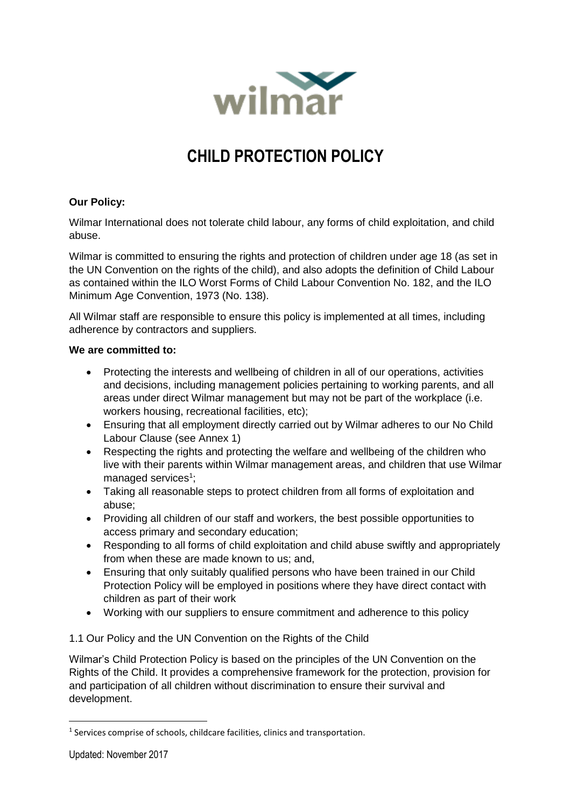

# **CHILD PROTECTION POLICY**

## **Our Policy:**

Wilmar International does not tolerate child labour, any forms of child exploitation, and child abuse.

Wilmar is committed to ensuring the rights and protection of children under age 18 (as set in the UN Convention on the rights of the child), and also adopts the definition of Child Labour as contained within the ILO Worst Forms of Child Labour Convention No. 182, and the ILO Minimum Age Convention, 1973 (No. 138).

All Wilmar staff are responsible to ensure this policy is implemented at all times, including adherence by contractors and suppliers.

### **We are committed to:**

- Protecting the interests and wellbeing of children in all of our operations, activities and decisions, including management policies pertaining to working parents, and all areas under direct Wilmar management but may not be part of the workplace (i.e. workers housing, recreational facilities, etc);
- Ensuring that all employment directly carried out by Wilmar adheres to our No Child Labour Clause (see Annex 1)
- Respecting the rights and protecting the welfare and wellbeing of the children who live with their parents within Wilmar management areas, and children that use Wilmar managed services<sup>1</sup>;
- Taking all reasonable steps to protect children from all forms of exploitation and abuse;
- Providing all children of our staff and workers, the best possible opportunities to access primary and secondary education;
- Responding to all forms of child exploitation and child abuse swiftly and appropriately from when these are made known to us; and,
- Ensuring that only suitably qualified persons who have been trained in our Child Protection Policy will be employed in positions where they have direct contact with children as part of their work
- Working with our suppliers to ensure commitment and adherence to this policy

1.1 Our Policy and the UN Convention on the Rights of the Child

Wilmar's Child Protection Policy is based on the principles of the UN Convention on the Rights of the Child. It provides a comprehensive framework for the protection, provision for and participation of all children without discrimination to ensure their survival and development.

**.** 

<sup>&</sup>lt;sup>1</sup> Services comprise of schools, childcare facilities, clinics and transportation.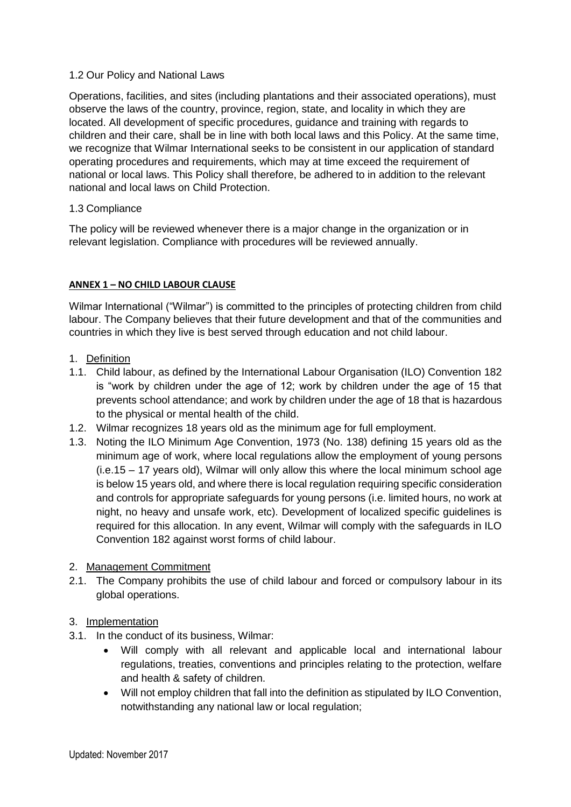### 1.2 Our Policy and National Laws

Operations, facilities, and sites (including plantations and their associated operations), must observe the laws of the country, province, region, state, and locality in which they are located. All development of specific procedures, guidance and training with regards to children and their care, shall be in line with both local laws and this Policy. At the same time, we recognize that Wilmar International seeks to be consistent in our application of standard operating procedures and requirements, which may at time exceed the requirement of national or local laws. This Policy shall therefore, be adhered to in addition to the relevant national and local laws on Child Protection.

### 1.3 Compliance

The policy will be reviewed whenever there is a major change in the organization or in relevant legislation. Compliance with procedures will be reviewed annually.

#### **ANNEX 1 – NO CHILD LABOUR CLAUSE**

Wilmar International ("Wilmar") is committed to the principles of protecting children from child labour. The Company believes that their future development and that of the communities and countries in which they live is best served through education and not child labour.

- 1. Definition
- 1.1. Child labour, as defined by the International Labour Organisation (ILO) Convention 182 is "work by children under the age of 12; work by children under the age of 15 that prevents school attendance; and work by children under the age of 18 that is hazardous to the physical or mental health of the child.
- 1.2. Wilmar recognizes 18 years old as the minimum age for full employment.
- 1.3. Noting the ILO Minimum Age Convention, 1973 (No. 138) defining 15 years old as the minimum age of work, where local regulations allow the employment of young persons (i.e.15 – 17 years old), Wilmar will only allow this where the local minimum school age is below 15 years old, and where there is local regulation requiring specific consideration and controls for appropriate safeguards for young persons (i.e. limited hours, no work at night, no heavy and unsafe work, etc). Development of localized specific guidelines is required for this allocation. In any event, Wilmar will comply with the safeguards in ILO Convention 182 against worst forms of child labour.

### 2. Management Commitment

2.1. The Company prohibits the use of child labour and forced or compulsory labour in its global operations.

### 3. Implementation

- 3.1. In the conduct of its business, Wilmar:
	- Will comply with all relevant and applicable local and international labour regulations, treaties, conventions and principles relating to the protection, welfare and health & safety of children.
	- Will not employ children that fall into the definition as stipulated by ILO Convention, notwithstanding any national law or local regulation;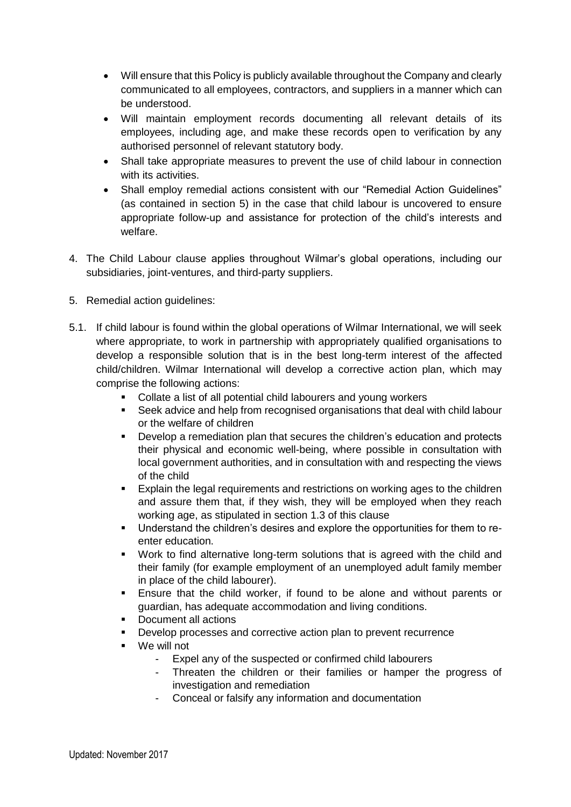- Will ensure that this Policy is publicly available throughout the Company and clearly communicated to all employees, contractors, and suppliers in a manner which can be understood.
- Will maintain employment records documenting all relevant details of its employees, including age, and make these records open to verification by any authorised personnel of relevant statutory body.
- Shall take appropriate measures to prevent the use of child labour in connection with its activities.
- Shall employ remedial actions consistent with our "Remedial Action Guidelines" (as contained in section 5) in the case that child labour is uncovered to ensure appropriate follow-up and assistance for protection of the child's interests and welfare.
- 4. The Child Labour clause applies throughout Wilmar's global operations, including our subsidiaries, joint-ventures, and third-party suppliers.
- 5. Remedial action guidelines:
- 5.1. If child labour is found within the global operations of Wilmar International, we will seek where appropriate, to work in partnership with appropriately qualified organisations to develop a responsible solution that is in the best long-term interest of the affected child/children. Wilmar International will develop a corrective action plan, which may comprise the following actions:
	- Collate a list of all potential child labourers and young workers
	- Seek advice and help from recognised organisations that deal with child labour or the welfare of children
	- Develop a remediation plan that secures the children's education and protects their physical and economic well-being, where possible in consultation with local government authorities, and in consultation with and respecting the views of the child
	- Explain the legal requirements and restrictions on working ages to the children and assure them that, if they wish, they will be employed when they reach working age, as stipulated in section 1.3 of this clause
	- Understand the children's desires and explore the opportunities for them to reenter education.
	- Work to find alternative long-term solutions that is agreed with the child and their family (for example employment of an unemployed adult family member in place of the child labourer).
	- Ensure that the child worker, if found to be alone and without parents or guardian, has adequate accommodation and living conditions.
	- Document all actions
	- Develop processes and corrective action plan to prevent recurrence
	- We will not
		- Expel any of the suspected or confirmed child labourers
		- Threaten the children or their families or hamper the progress of investigation and remediation
		- Conceal or falsify any information and documentation